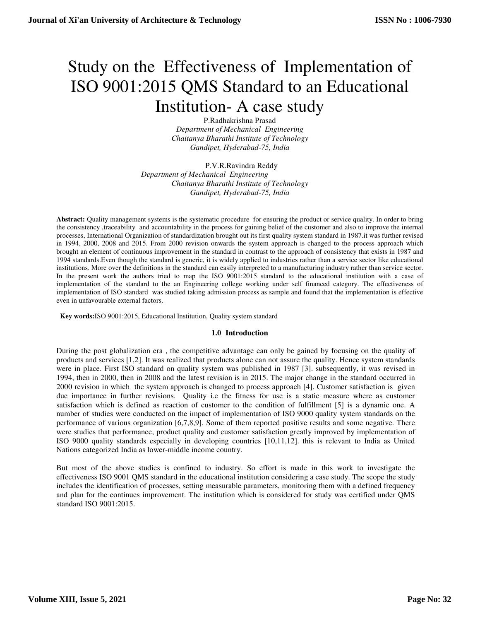# Study on the Effectiveness of Implementation of ISO 9001:2015 QMS Standard to an Educational Institution- A case study

P.Radhakrishna Prasad *Department of Mechanical Engineering Chaitanya Bharathi Institute of Technology Gandipet, Hyderabad-75, India* 

P.V.R.Ravindra Reddy *Department of Mechanical Engineering Chaitanya Bharathi Institute of Technology Gandipet, Hyderabad-75, India* 

**Abstract:** Quality management systems is the systematic procedure for ensuring the product or service quality. In order to bring the consistency ,traceability and accountability in the process for gaining belief of the customer and also to improve the internal processes, International Organization of standardization brought out its first quality system standard in 1987.it was further revised in 1994, 2000, 2008 and 2015. From 2000 revision onwards the system approach is changed to the process approach which brought an element of continuous improvement in the standard in contrast to the approach of consistency that exists in 1987 and 1994 standards.Even though the standard is generic, it is widely applied to industries rather than a service sector like educational institutions. More over the definitions in the standard can easily interpreted to a manufacturing industry rather than service sector. In the present work the authors tried to map the ISO 9001:2015 standard to the educational institution with a case of implementation of the standard to the an Engineering college working under self financed category. The effectiveness of implementation of ISO standard was studied taking admission process as sample and found that the implementation is effective even in unfavourable external factors.

 **Key words:**ISO 9001:2015, Educational Institution, Quality system standard

### **1.0 Introduction**

During the post globalization era , the competitive advantage can only be gained by focusing on the quality of products and services [1,2]. It was realized that products alone can not assure the quality. Hence system standards were in place. First ISO standard on quality system was published in 1987 [3]. subsequently, it was revised in 1994, then in 2000, then in 2008 and the latest revision is in 2015. The major change in the standard occurred in 2000 revision in which the system approach is changed to process approach [4]. Customer satisfaction is given due importance in further revisions. Quality i.e the fitness for use is a static measure where as customer satisfaction which is defined as reaction of customer to the condition of fulfillment [5] is a dynamic one. A number of studies were conducted on the impact of implementation of ISO 9000 quality system standards on the performance of various organization [6,7,8,9]. Some of them reported positive results and some negative. There were studies that performance, product quality and customer satisfaction greatly improved by implementation of ISO 9000 quality standards especially in developing countries [10,11,12]. this is relevant to India as United Nations categorized India as lower-middle income country.

But most of the above studies is confined to industry. So effort is made in this work to investigate the effectiveness ISO 9001 QMS standard in the educational institution considering a case study. The scope the study includes the identification of processes, setting measurable parameters, monitoring them with a defined frequency and plan for the continues improvement. The institution which is considered for study was certified under QMS standard ISO 9001:2015.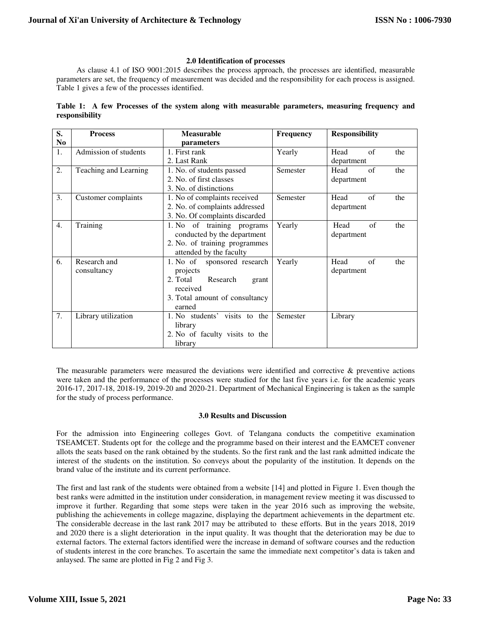## **2.0 Identification of processes**

As clause 4.1 of ISO 9001:2015 describes the process approach, the processes are identified, measurable parameters are set, the frequency of measurement was decided and the responsibility for each process is assigned. Table 1 gives a few of the processes identified.

|                |  |  |  |  |  | Table 1: A few Processes of the system along with measurable parameters, measuring frequency and |  |  |
|----------------|--|--|--|--|--|--------------------------------------------------------------------------------------------------|--|--|
| responsibility |  |  |  |  |  |                                                                                                  |  |  |

| S.             | <b>Process</b>        | <b>Measurable</b>              | <b>Frequency</b> | <b>Responsibility</b> |  |  |
|----------------|-----------------------|--------------------------------|------------------|-----------------------|--|--|
| N <sub>0</sub> |                       | parameters                     |                  |                       |  |  |
| 1.             | Admission of students | 1. First rank                  | Yearly           | of<br>Head<br>the     |  |  |
|                |                       | 2. Last Rank                   |                  | department            |  |  |
| 2.             | Teaching and Learning | 1. No. of students passed      | Semester         | of<br>Head<br>the     |  |  |
|                |                       | 2. No. of first classes        |                  | department            |  |  |
|                |                       | 3. No. of distinctions         |                  |                       |  |  |
| 3.             | Customer complaints   | 1. No of complaints received   | Semester         | of<br>Head<br>the     |  |  |
|                |                       | 2. No. of complaints addressed |                  | department            |  |  |
|                |                       | 3. No. Of complaints discarded |                  |                       |  |  |
| 4.             | Training              | 1. No of training programs     | Yearly           | of<br>Head<br>the     |  |  |
|                |                       | conducted by the department    |                  | department            |  |  |
|                |                       | 2. No. of training programmes  |                  |                       |  |  |
|                |                       | attended by the faculty        |                  |                       |  |  |
| 6.             | Research and          | 1. No of<br>sponsored research | Yearly           | Head<br>of<br>the     |  |  |
|                | consultancy           | projects                       |                  | department            |  |  |
|                |                       | 2. Total<br>Research<br>grant  |                  |                       |  |  |
|                |                       | received                       |                  |                       |  |  |
|                |                       | 3. Total amount of consultancy |                  |                       |  |  |
|                |                       | earned                         |                  |                       |  |  |
| 7.             | Library utilization   | 1. No students' visits to the  | Semester         | Library               |  |  |
|                |                       | library                        |                  |                       |  |  |
|                |                       | 2. No of faculty visits to the |                  |                       |  |  |
|                |                       | library                        |                  |                       |  |  |

The measurable parameters were measured the deviations were identified and corrective  $\&$  preventive actions were taken and the performance of the processes were studied for the last five years i.e. for the academic years 2016-17, 2017-18, 2018-19, 2019-20 and 2020-21. Department of Mechanical Engineering is taken as the sample for the study of process performance.

### **3.0 Results and Discussion**

For the admission into Engineering colleges Govt. of Telangana conducts the competitive examination TSEAMCET. Students opt for the college and the programme based on their interest and the EAMCET convener allots the seats based on the rank obtained by the students. So the first rank and the last rank admitted indicate the interest of the students on the institution. So conveys about the popularity of the institution. It depends on the brand value of the institute and its current performance.

The first and last rank of the students were obtained from a website [14] and plotted in Figure 1. Even though the best ranks were admitted in the institution under consideration, in management review meeting it was discussed to improve it further. Regarding that some steps were taken in the year 2016 such as improving the website, publishing the achievements in college magazine, displaying the department achievements in the department etc. The considerable decrease in the last rank 2017 may be attributed to these efforts. But in the years 2018, 2019 and 2020 there is a slight deterioration in the input quality. It was thought that the deterioration may be due to external factors. The external factors identified were the increase in demand of software courses and the reduction of students interest in the core branches. To ascertain the same the immediate next competitor's data is taken and anlaysed. The same are plotted in Fig 2 and Fig 3.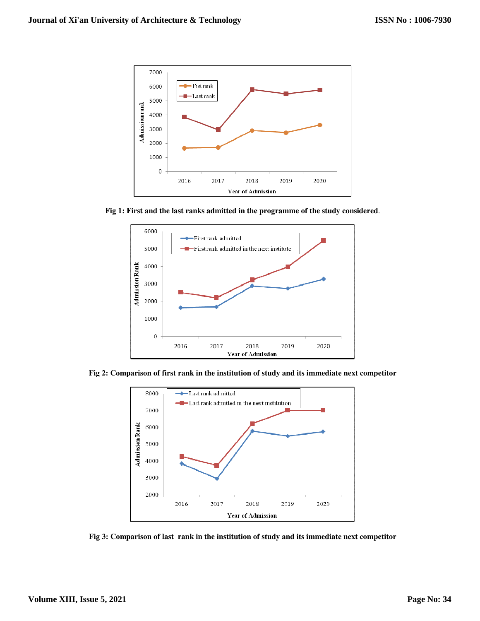

**Fig 1: First and the last ranks admitted in the programme of the study considered**



**Fig 2: Comparison of first rank in the institution of study and its immediate next competitor** 



**Fig 3: Comparison of last rank in the institution of study and its immediate next competitor**